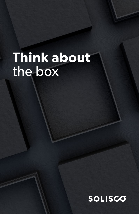# **Think about** the box

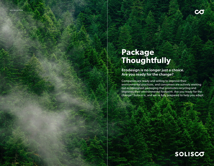

# **Package Thoughtfully**

Ecodesign is no longer just a choice. Are you ready for the change?

Companies are ready and willing to improve their environmental practices, and consumers are actively seeking out ecodesigned packaging that promotes recycling and improves their environmental footprint. Are you ready for the change? Solisco is, and we're fully prepared to help you adapt.

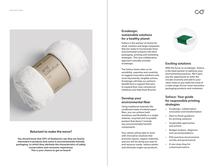

#### Comme un véhicule électrique, Reluctant to make the move?

You should know that 50% of Quebecers say they are keenly interested in products that come in environmentally friendly packaging, to which they attribute the characteristics of safety, conservation and consumer experience. This is your chance to get on board!

### Ecodesign: sustainable solutions for a healthy planet

Solisco is the partner of choice for small, medium and large companies that are ready to incorporate more environmental solutions into their packaging, printing and marketing strategies. This new collaborative approach naturally includes ecodesign.

The Solisco team relies on its sensibility, expertise and creativity to suggest innovative solutions and, most importantly, tangible actions. Ecodesign will help our partners benefit from a support that aims to expand their new commercial initiatives and help them flourish.

### Develop your environmental fiber

Using traditional materials like cardboard made of natural paper fiber, you can achieve both sturdiness and flexibility in a singlematerial, recycled and recyclable product that doesn't include any environmentally harmful components.

Your clients will be able to work with innovative solutions that promote natural, organic materials, and you will be doing your part to end resource waste, reduce plastic and eliminate single-use products.



### Exciting solutions

With the focus on ecodesign, Solisco is the ideal partner to optimize your environmental practices. We'll give you the opportunity to enter the circular economy and add to your value chain as you make the most of a wide range of ever more innovative packaging products and containers.

### Solisco: Your guide for responsible printing strategies

- **<sup>&</sup>gt;** Ecodesign: collaboration, innovation and transformation
- **<sup>&</sup>gt;** Start-to-finish guidance for printing solutions
- **<sup>&</sup>gt;** Sustainable approaches and actions
- **<sup>&</sup>gt;** Budget analysis, diagnosis and recommendations
- **<sup>&</sup>gt;** ESG practices (environment, society and governance)
- **<sup>&</sup>gt;** A one-stop shop for customized advice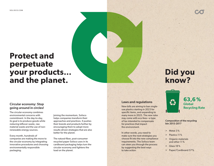

### Circular economy: Stop going around in circles!

The circular economy combines environmental concerns with commitment. In the day-to-day, its goal is to produce goods while reducing leftover waste, raw material waste and the use of nonrenewable energy sources.

Every month, hundreds of companies are making the move to the circular economy by integrating innovative procedures and choosing environmentally responsible packaging.

Joining the momentum, Solisco helps companies transform their approaches and practices. It pushes their brands and products further by encouraging them to adopt more results-driven strategies that are also better for the planet.

The natural-fiber, post-consumer recycled paper Solisco uses in its cardboard packaging helps turn the circular economy and lightens the load on the planet.

#### Laws and regulations

New bills are aiming to ban singleuse plastics starting in 2023 for specific items, and expanding to many more in 2025. The new rules may come with eco-fees—a type of tax intended to compensate for practices that impact the environment.

In other words, you need to make sure the next strategies you choose fit into the new compliance requirements. The Solisco team can steer you through the process by suggesting the best ways to take action.

# **Did you know?**

Composition of the recycling bin 2015-2017

**63,6 %**

Recycling Rate

Global

- $>$  Metal 3%
- > Plastics 11 %
- > Organic materials and other 11 %
- $>$  Glass 18%
- > Paper/Cardboard 57 %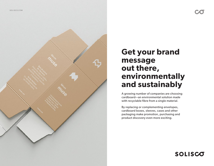

# **Get your brand message out there, environmentally and sustainably**

A growing number of companies are choosing cardboard—an environmental solution made with recyclable fibre from a single material.

By replacing or complementing envelopes, cardboard boxes, sleeves, cases and other packaging make promotion, purchasing and product discovery even more exciting.

### SOLISCO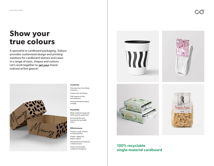# **Show your true colours**

Let's work together to get your brand A specialist in cardboard packaging, Solisco provides customized design and printing solutions for cardboard sleeves and cases in a range of sizes, shapes and colours. noticed at first glance!



#### **Creativity**

- One-stop shop, from design to delivery Custom sizes and shapes
- High degree of visual personalization

Several printing techniques available

#### **Durability**

White cardboard made with 100% superior-quality fibre

Eco-friendly life cycle: recycled and recyclable boxes

#### **Effectiveness**

Printing in small, medium or large quantities

Graphic, digital and logistic support

Manufactured and delivered in North America

Solisco seal of quality, a reference throughout









### 100% recyclable single-material cardboard